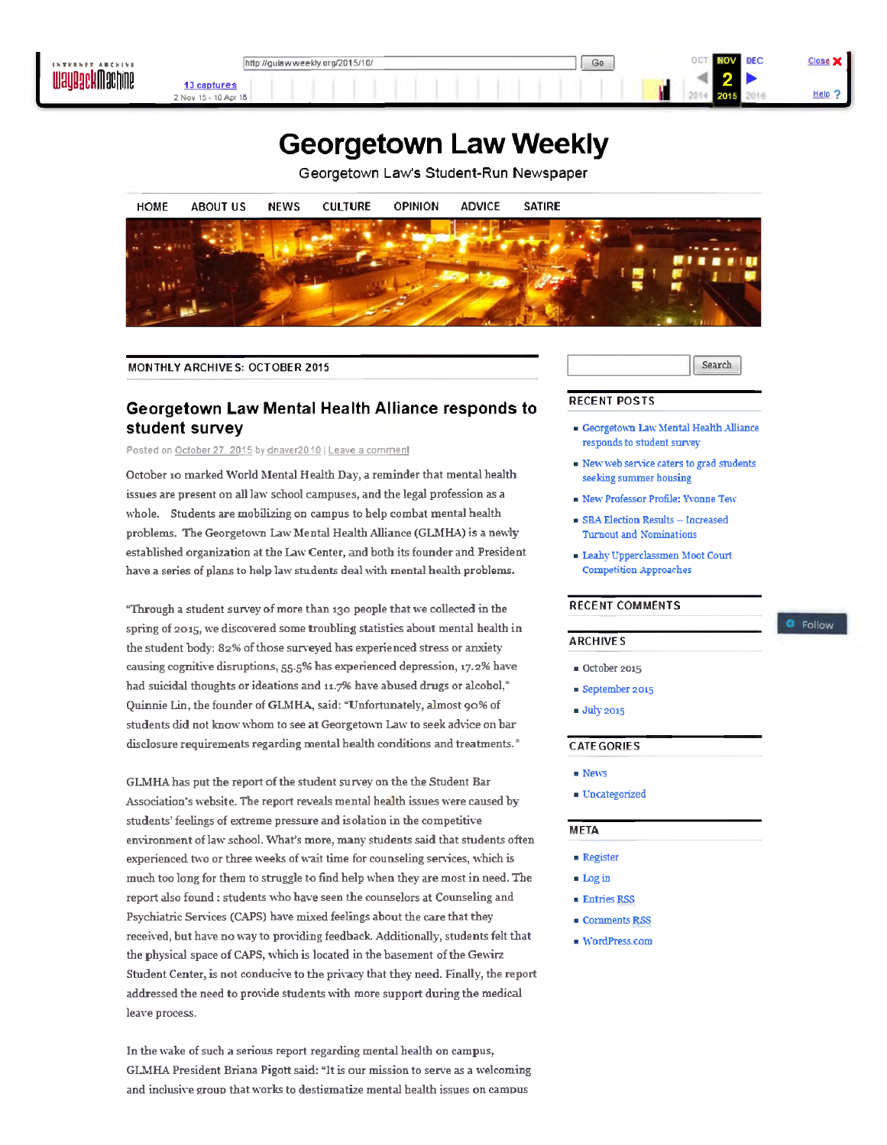

# **Georgetown Law Weekly**

Georgetown Law's Student-Run Newspaper



MONTHLY ARCHIVES: OCTOBER 2015

## **Georgetown Law Mental Health Alliance responds to student survey**

Posted on October 27, 2015 by dnaver2010 | Leave a comment

October 10 marked World Mental Health Day, a reminder that mental health issues are present on all law school campuses, and the legal profession as a whole. Students are mobilizing on campus to help combat mental health problems. The Georgetown Law Mental Health Alliance (GLMHA) is a newly established organization at the Law Center, and both its founder and President have a series of plans to help law students deal with mental health problems.

"Through a student survey of more than 130 people that we collected in the spring of 2015, we discovered some troubling statistics about mental health in the student body: 82% of those surveyed has experienced stress or anxiety causing cognitive disruptions, 55.5% has experienced depression, 17.2% have had suicidal thoughts or ideations and 11.7% have abused drugs or alcohol," Quinnie Lin, the founder of GLM HA, said: "Unfortunately, almost 90% of students did not know whom to see at Georgetown Law to seek advice on bar disclosure requirements regarding mental health conditions and treatments."

GLMHA has put the report of the student survey on the the Student Bar Association's website. The report reveals mental health issues were caused by students' feelings of extreme pressure and isolation in the competitive environment of law school. What's more, many students said that students often experienced two or three weeks of wait time for counseling services, which is much too long for them to struggle to find help when they are most in need. The report also found : students who have seen the counselors at Counseling and Psychiatric Services (CAPS) have mixed feelings about the care that they received, but have no way to providing feedback. Additionally, students felt that the physical space of CAPS, which is located in the basement of the Gewirz Student Center, is not conducive to the privacy that they need. Finally, the report addressed the need to provide students with more support during the medical leave process.

In the wake of such a serious report regarding mental health on campus, GLMHA President Briana Pigott said: "It is our mission to serve as a welcoming and inclusive group that works to destigmatize mental health issues on campus

Search

O Follow

#### RECENT POSTS

- Georgetown Law Mental Health Alliance responds to student survey
- New web service caters to grad students seeking summer housing
- New Professor Profile: Yvonne Tew
- SBA Election Results Increased Turnout and Nominations
- Leahy Upperclassmen Moot Court Competition Approaches

#### RECENT COMMENTS

### ARCHIVES

- October 2015
- September 2015
- July 2015

#### CATEGORIES

- News
- Uncategorized

#### **META**

- Register
- Login
- Entries RSS
- Comments £§\$
- WordPress.com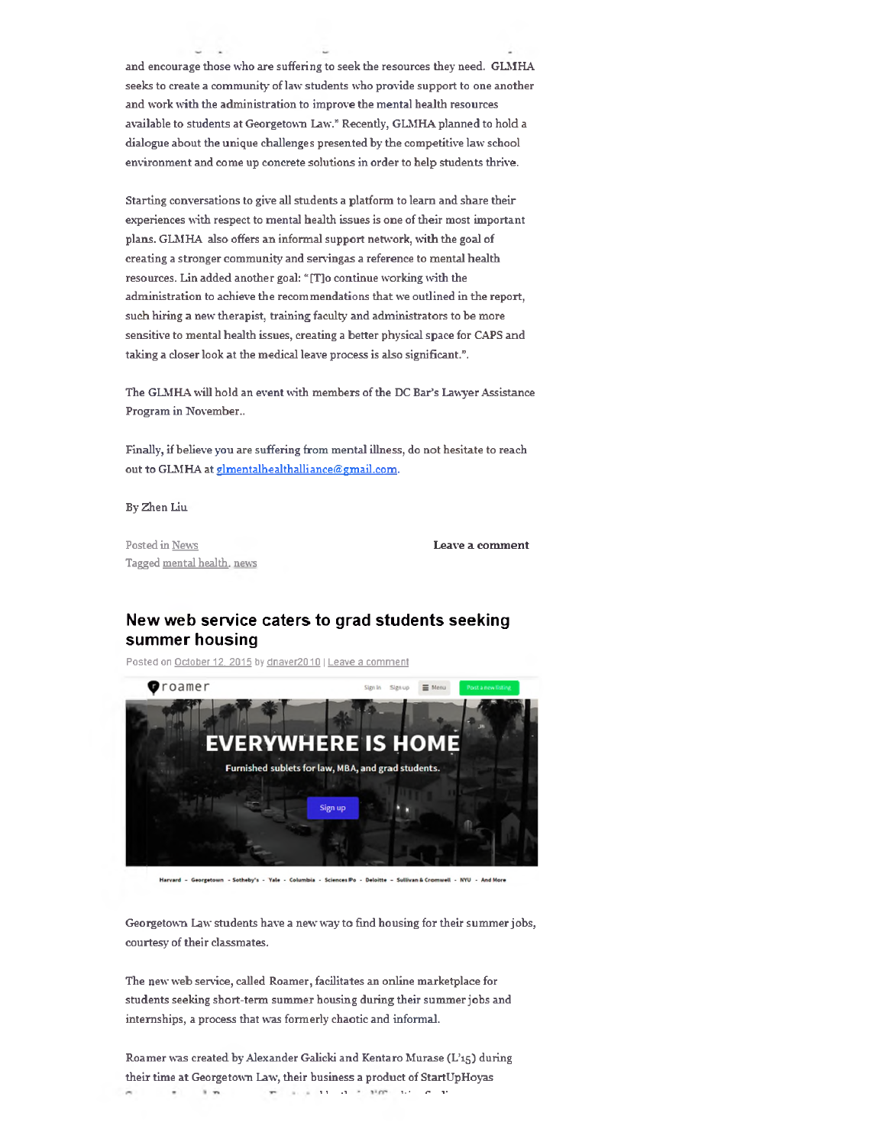and encourage those who are suffering to seek the resources they need. GLM HA seeks to create a community of law students who provide support to one another and work with the administration to improve the mental health resources available to students at Georgetown Law." Recently, GLMHA planned to hold a dialogue about the unique challenges presented by the competitive law school environment and come up concrete solutions in order to help students thrive.

Starting conversations to give all students a platform to learn and share their experiences with respect to mental health issues is one of their most important plans. GLMHA also offers an informal support network, with the goal of creating a stronger community and servingas a reference to mental health resources. Lin added another goal: " [T]o continue working with the administration to achieve the recommendations that we outlined in the report, such hiring a new therapist, training faculty and administrators to be more sensitive to mental health issues, creating a better physical space for CAPS and taking a closer look at the medical leave process is also significant.".

The GLMHA will hold an event with members of the DC Bar's Lawyer Assistance Program in November..

Finally, if believe you are suffering from mental illness, do not hesitate to reach out to GLMHA at glmentalhealthalliance@gmail.com.

By Zhen Liu

Posted in News **Leave a comment** Tagged mental health, news

## **New web service caters to grad students seeking summer housing**

Posted on October 12. 2015 by dnaver2010 | Leave a comment



Harvard - Georgetown - Sotheby's - Yale - Columbia - Sciences Po - Deloitte - Sullivan & Cromwell - NYU - And More

Georgetown Law students have a new way to find housing for their summer jobs, courtesy of their classmates.

The new web service, called Roamer, facilitates an online marketplace for students seeking short-term summer housing during their summer jobs and internships, a process that was formerly chaotic and informal.

Roamer was created by Alexander Galicki and Kentaro Murase (L'15) during their time at Georgetown Law, their business a product of StartUpHoyas 1 1 .1 **1. •** *n* **1 •** $\mathbf{r}$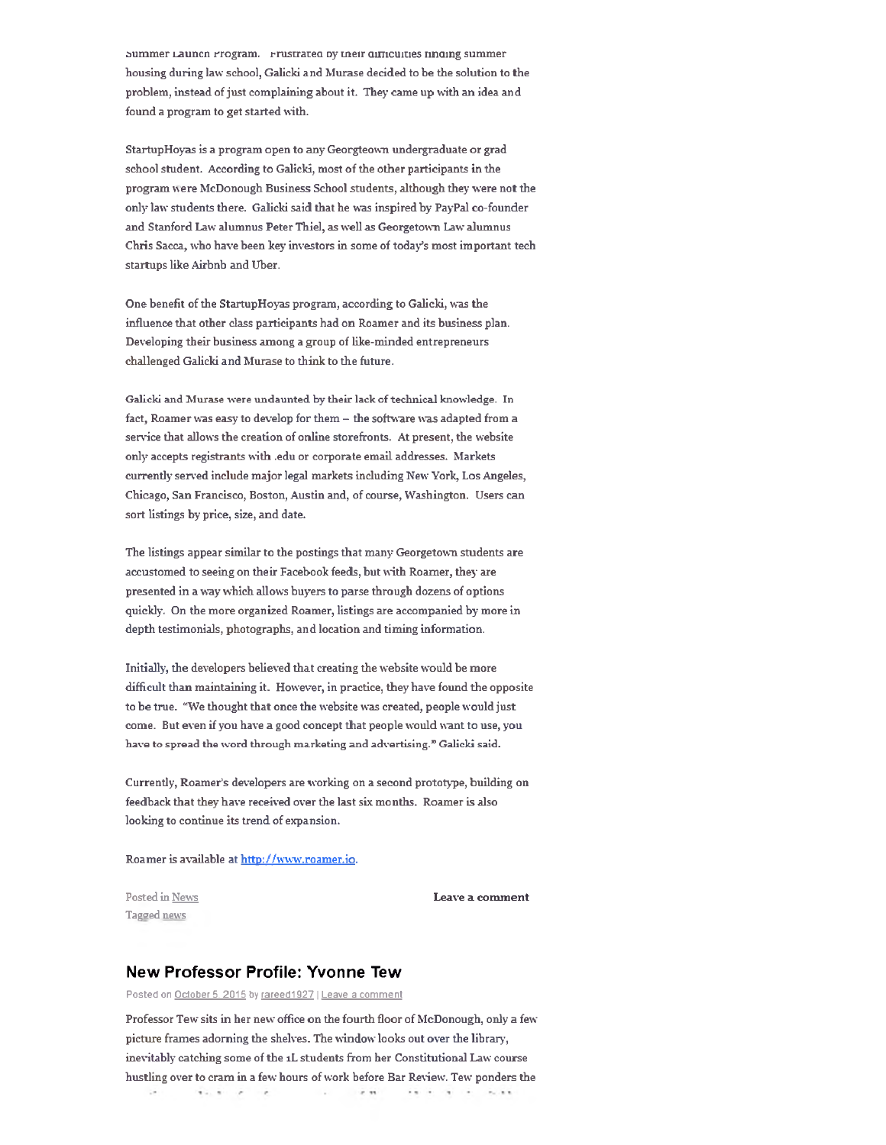summer Launcn Program. Frustrated by their difficulties nnoing summer housing during law school, Galicki and Murase decided to be the solution to the problem, instead of just complaining about it. They came up with an idea and found a program to get started with.

StartupHoyas is a program open to any Georgteown undergraduate or grad school student. According to Galicki, most of the other participants in the program were McDonough Business School students, although they were not the only law students there. Galicki said that he was inspired by PayPal co-founder and Stanford Law alumnus Peter Thiel, as well as Georgetown Law alumnus Chris Sacca, who have been key investors in some of today's most important tech startups like Airbnb and Uber.

One benefit of the StartupHoyas program, according to Galicki, was the influence that other class participants had on Roamer and its business plan. Developing their business am ong a group of like-minded entrepreneurs challenged Galicki and Murase to think to the future.

Galicki and Murase were undaunted by their lack of technical knowledge. In fact, Roamer was easy to develop for them - the software was adapted from a service that allows the creation of online storefronts. At present, the website only accepts registrants with .edu or corporate email addresses. Markets currently served include major legal markets including New York, Los Angeles, Chicago, San Francisco, Boston, Austin and, of course, Washington. Users can sort listings by price, size, and date.

The listings appear similar to the postings that many Georgetown students are accustomed to seeing on their Facebook feeds, but with Roamer, they are presented in a way which allows buyers to parse through dozens of options quickly. On the more organized Roamer, listings are accompanied by more in depth testimonials, photographs, and location and timing information.

Initially, the developers believed that creating the website would be more difficult than maintaining it. However, in practice, they have found the opposite to be true. "We thought that once the website was created, people would just come. But even if you have a good concept that people would want to use, you have to spread the word through marketing and advertising." Galicki said.

Currently, Roamer's developers are working on a second prototype, building on feedback that they have received over the last six months. Roamer is also looking to continue its trend of expansion.

Roamer is available at http://www.roamer.io.

Tagged news

Posted in News **Leave a comment** 

## **New Professor Profile: Yvonne Tew**

Posted on October 5. 2015 by rareed1927 | Leave a comment

Professor Tew sits in her new office on the fourth floor of McDonough, only a few picture frames adorning the shelves. The window looks out over the library, inevitably catching some of the 1L students from her Constitutional Law course hustling over to cram in a few hours of work before Bar Review. Tew ponders the  $\mathcal{L}(\mathcal{L}(\mathcal{L}(\mathcal{M}(\mathcal{M}(\mathcal{M}(\mathcal{M}(\mathcal{M}(\mathcal{M}(\mathcal{M}(\mathcal{M}(\mathcal{M}(\mathcal{M}(\mathcal{M}(\mathcal{M}(\mathcal{M}(\mathcal{M}(\mathcal{M}(\mathcal{M}(\mathcal{M}(\mathcal{M}(\mathcal{M}(\mathcal{M}(\mathcal{M}(\mathcal{M}(\mathcal{M}(\mathcal{M}(\mathcal{M}(\mathcal{M}(\mathcal{M}(\mathcal{M}(\mathcal{M}(\mathcal{M}(\mathcal{M}(\mathcal{M}(\mathcal{M}(\mathcal{$ THE R. P. LEWIS CO., LANSING MICH.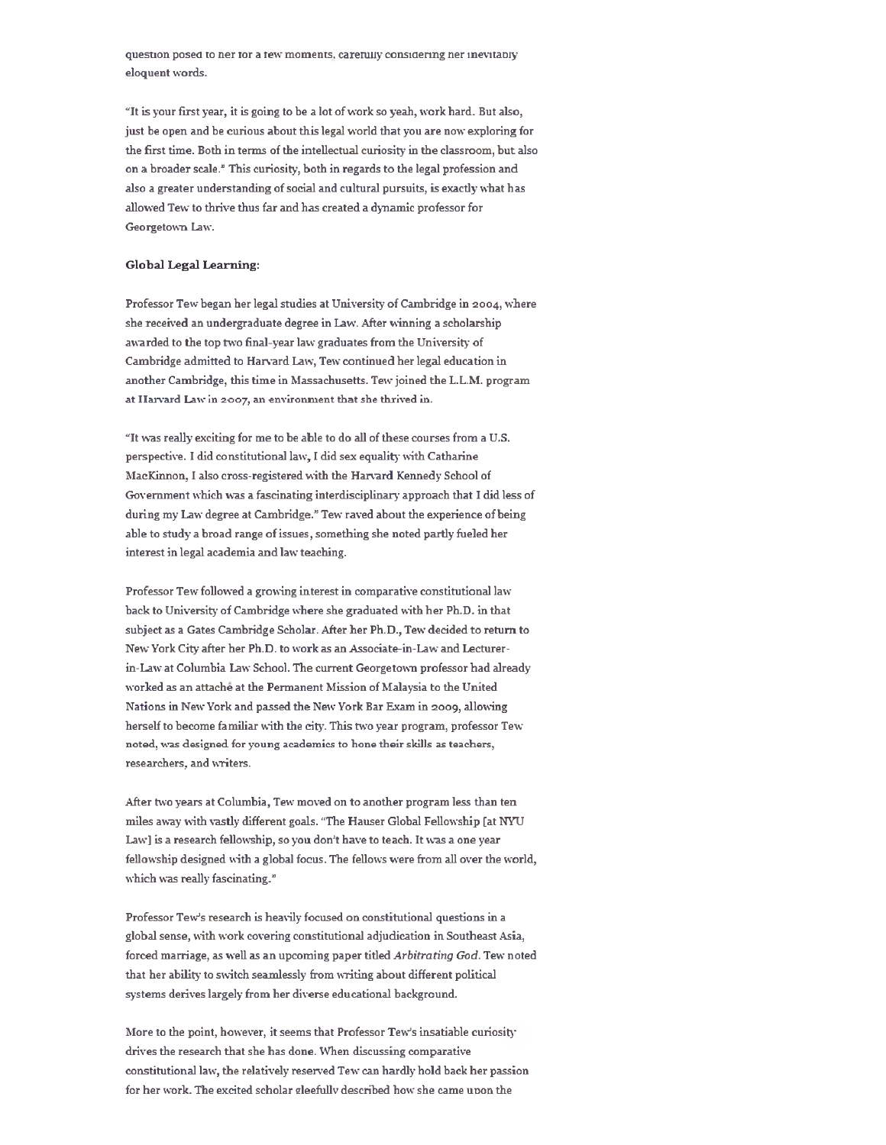question posed to ner tor a tew moments, carefully considering ner inevitably eloquent words.

"It is your first year, it is going to be a lot of work so yeah, work hard. But also, just be open and be curious about this legal world that you are now exploring for the first time. Both in terms of the intellectual curiosity in the classroom, but also on a broader scale." This curiosity, both in regards to the legal profession and also a greater understanding of social and cultural pursuits, is exactly what has allowed Tew to thrive thus far and has created a dynamic professor for Georgetown Law.

### Global Legal Learning:

Professor Tew began her legal studies at University of Cambridge in 2004, where she received an undergraduate degree in Law. After winning a scholarship awarded to the top two final-year law graduates from the University of Cambridge adm itted to Harvard Law, Tew continued her legal education in another Cambridge, this time in Massachusetts. Tew joined the L.L.M. program at Harvard Law in 2007, an environment that she thrived in.

"It was really exciting for me to be able to do all of these courses from a U.S. perspective. I did constitutional law, I did sex equality with Catharine MacKinnon, I also cross-registered with the Harvard Kennedy School of Government which was a fascinating interdisciplinary approach that I did less of during my Law degree at Cambridge." Tew raved about the experience of being able to study a broad range of issues, something she noted partly fueled her interest in legal academia and law teaching.

Professor Tew followed a growing interest in comparative constitutional law back to University of Cambridge where she graduated with her Ph.D. in that subject as a Gates Cambridge Scholar. After her Ph.D., Tew decided to return to New York City after her Ph.D. to work as an Associate-in-Law and Lecturerin-Law at Columbia Law School. The current Georgetown professor had already worked as an attache at the Permanent Mission of Malaysia to the United Nations in New York and passed the New York Bar Exam in 2009, allowing herself to become familiar with the city. This two year program, professor Tew noted, was designed for young academics to hone their skills as teachers, researchers, and writers.

After two years at Columbia, Tew moved on to another program less than ten miles away with vastly different goals. "The Hauser Global Fellowship [at NYU Law] is a research fellowship, so you don't have to teach. It was a one year fellowship designed with a global focus. The fellows were from all over the world, which was really fascinating."

Professor Tew's research is heavily focused on constitutional questions in a global sense, with work covering constitutional adjudication in Southeast Asia, forced marriage, as well as an upcoming paper titled Arbitrating God. Tew noted that her ability to switch seamlessly from writing about different political systems derives largely from her diverse educational background.

More to the point, however, it seems that Professor Tew's insatiable curiosity drives the research that she has done. When discussing comparative constitutional law, the relatively reserved Tew can hardly hold back her passion for her work. The excited scholar gleefully described how she came upon the